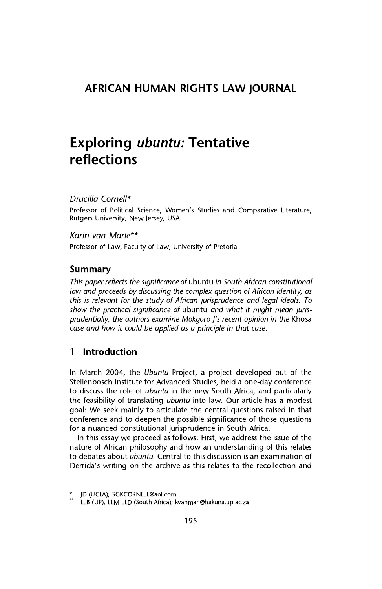# AFRICAN HUMAN RIGHTS LAW JOURNAL

# Exploring *ubuntu:* Tentative<br>reflections

Professor of Political Science, Women's Studies and Comparative Literature,<br>Rutgers University, New Jersey USA Rutgers University, New Jersey, USA

Karin van Marie<br>Professor of Law Facu Professor of Law, Faculty of Law, University of Pretoria

**Summary**<br>This paper reflects the significance of ubuntu in South African constitutional Iaw and proceeds by discussing the complex question of African identity, as this is relevant for the study of African jurisprudence and legal ideals. To show the practical significance of ubuntu and what it might mean jurisprudentially, the authors examine Mokgoro J's recent opinion in the Khosa<br>case and how it could be annlied as a principle in that case case and how it could be applied as a principle in that case.

#### $\mathbf{1}$

In March 2004, the Ubuntu Project, a project developed out of the Stellenbosch Institute for Advanced Studies, held a one-day conference to discuss the role of ubuntu in the new South Africa, and particularly the feasibility of translating *ubuntu* into law. Our article has a modest goal: We seek mainly to articulate the central questions raised in that conference and to deepen the possible significance of those questions for a nuanced constitutional jurisprudence in South Africa.

In this essay we proceed as follows: First, we address the issue of the nature of African philosophy and how an understanding of this relates to debates about ubuntu. Central to this discussion is an examination of Derrida's writing on the archive as this relates to the recollection and

<sup>\*</sup> LLB (UP), LLM LLD (South Africa); kvanmarl@hakuna.up.ac.za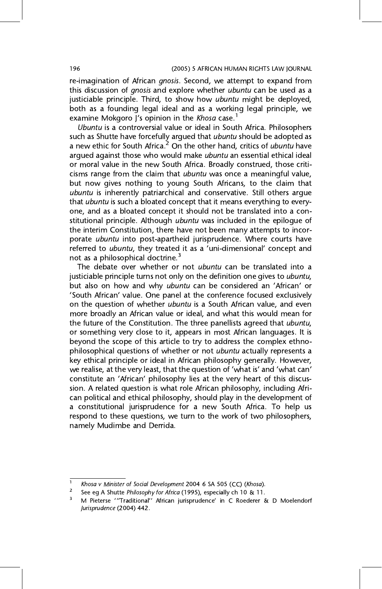re-imagination of African *gnosis*. Second, we attempt to expand from<br>this discussion of *gnosis* and explore whether *ubuntu* can be used as a justiciable principle. Third, to show how ubuntu might be deployed, both as a founding legal ideal and as a working legal principle, we both as a founding legal principle in the Khosa case.<sup>1</sup><br>
Ubuntu is a controversial value or ideal in South Africa, Philosophers

Ubuntu is a controversial value or ideal in South Africa. Philosophers such as Shutte have forcefully argued that *ubuntu* should be adopted as a new ethic for South Africa.<sup>2</sup> On the other hand, critics of ubuntu have arqued against those who would make ubuntu an essential ethical ideal or moral value in the new South Africa. Broadly construed, those criticisms range from the claim that ubuntu was once a meaningful value, but now gives nothing to young South Africans, to the claim that ubuntu is inherently patriarchical and conservative. Still others arque that *ubuntu* is such a bloated concept that it means everything to everyone, and as a bloated concept it should not be translated into a constitutional principle. Although *ubuntu* was included in the epiloque of the interim Constitution, there have not been many attempts to incorporate *ubuntu* into post-apartheid jurisprudence. Where courts have referred to *ubuntu*, they treated it as a 'uni-dimensional' concept and<br>not as a philosophical doctrine <sup>3</sup> not as a philosophical doctrine.<sup>3</sup><br>The debate over whether or not *ubuntu* can be translated into a

justiciable principle turns not only on the definition one gives to ubuntu. function and why ubuntu can be considered an 'African' or<br>'South African' value. One panel at the conference focused exclusively 'South African' value. One panel at the conference focused exclusively on the question of whether *ubuntu* is a South African value, and even more broadly an African value or ideal, and what this would mean for the future of the Constitution. The three panellists agreed that ubuntu, or something very close to it, appears in most African languages. It is beyond the scope of this article to try to address the complex ethnophilosophical questions of whether or not *ubuntu* actually represents a key ethical principle or ideal in African philosophy generally. However, we realise, at the very least, that the question of 'what is' and 'what can'<br>constitute an 'African' philosophy lies at the very heart of this discusconstitute an 'African' philosophy lies at the very heart of this discus-<br>sion. A related question is what role African philosophy, including African political and ethical philosophy, should play in the development of a constitutional jurisprudence for a new South Africa. To help us respond to these questions, we turn to the work of two philosophers, respond to differently as turn to the work of the philosophers, namely Mudimbe and Derrida.

#### 196

*<sup>1</sup>* Khosa v Minister of Social Development 2004 6 SA 505 (CC) (Khosa).<br><sup>2</sup> See eg A Shutte Philosophy for Africa (1995), especially ch 10 & 11.<br><sup>3</sup> M Pieterse '''Traditional'' African jurisprudence' in C Roederer & D Moel Jurisprudence (2004) 442.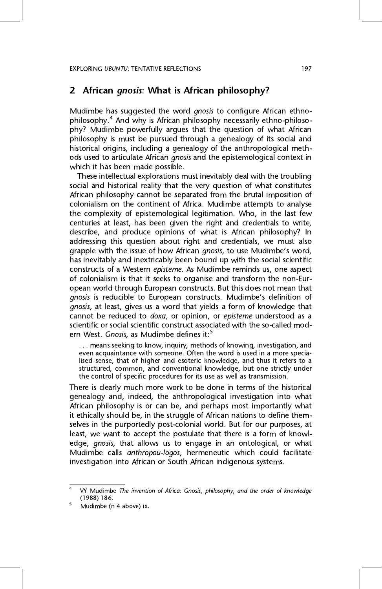#### 2 African gnosis: What is African philosophy?

Mudimbe has suggested the word *gnosis* to configure African ethno-<br>philosophy.<sup>4</sup> And why is African philosophy necessarily ethno-philosophy? Mudimbe powerfully arques that the question of what African philosophy is must be pursued through a genealogy of its social and historical origins, including a genealogy of the anthropological methods used to articulate African *gnosis* and the epistemological context in which it has been made possible.

These intellectual explorations must inevitably deal with the troubling social and historical reality that the very question of what constitutes African philosophy cannot be separated from the brutal imposition of colonialism on the continent of Africa. Mudimbe attempts to analyse the complexity of epistemological legitimation. Who, in the last few centuries at least, has been given the right and credentials to write, describe, and produce opinions of what is African philosophy? In addressing this question about right and credentials, we must also and credit and credential credentials, and credential credentials, and credential credit and credit and credit<br>has inevitably and inextricably been bound up with the social scientific has inevitably and inextricably been bound up with the social scientific constructs of a Western *episteme*. As Mudimbe reminds us, one aspect of colonialism is that it seeks to organise and transform the non-European world through European constructs. But this does not mean that gnosis is reducible to European constructs. Mudimbe's definition of<br>gnosis at least gives us a word that vields a form of knowledge that gnosis, at least, gives us a word that yields a form of knowledge that<br>cannot be reduced to *doxa*, or opinion, or *episteme* understood as a scientific or social scientific construct associated with the so-called modscientific or social scientific or social scientific construction of the so-called model model model model model model model as the so-called model model model model model model model model model model model model model mo

... means seeking to know, inquiry, methods of knowing, investigation, and even acquaintance with someone. Often the word is used in a more specialised sense, that of higher and esoteric knowledge, and thus it refers to a structured, common, and conventional knowledge, but one strictly under the control of specific procedures for its use as well as transmission.

There is clearly much more work to be done in terms of the historical genealogy and, indeed, the anthropological investigation into what African philosophy is or can be, and perhaps most importantly what it ethically should be, in the struggle of African nations to define themselves in the purportedly post-colonial world. But for our purposes, at least, we want to accept the postulate that there is a form of knowledge, gnosis, that allows us to engage in an ontological, or what Mudimbe calls anthropou-logos, hermeneutic which could facilitate mummer calls anthropou-logos, hermeneutic which could facilitate investigation into African or South African indigenous systems.

VY Mudimbe The invention of Africa: Gnosis, philosophy, and the order of knowledge (1988) 186.

Mudimbe (n 4 above) ix.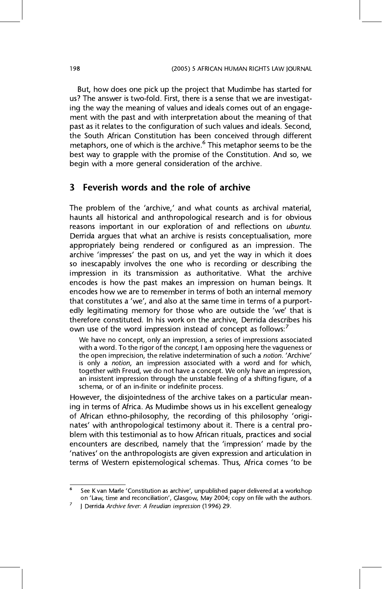But, how does one pick up the project that Mudimbe has started for us? The answer is two-fold. First, there is a sense that we are investigating the way the meaning of values and ideals comes out of an engagement with the past and with interpretation about the meaning of that past as it relates to the configuration of such values and ideals. Second, the South African Constitution has been conceived through different metaphors, one of which is the archive.<sup>6</sup> This metaphor seems to be the best way to grapple with the promise of the Constitution. And so, we begin with a more general consideration of the archive. begin with a more general consideration of the archive.

#### 3 Feverish words and the role of archive

The problem of the 'archive,' and what counts as archival material, haunts all historical and anthropological research and is for obvious reasons important in our exploration of and reflections on ubuntu. Derrida arques that what an archive is resists conceptualisation, more appropriately being rendered or configured as an impression. The archive 'impresses' the past on us, and yet the way in which it does<br>so inescapably involves the one who is recording or describing the so inescapably involves the one who is recording or describing the impression in its transmission as authoritative. What the archive encodes is how the past makes an impression on human beings. It encodes how we are to remember in terms of both an internal memory that constitutes a 'we', and also at the same time in terms of a purport-<br>edly legitimating memory for those who are outside the 'we' that is edly legitimating memory for those who are outside the 'we' that is<br>therefore constituted. In his work on the archive, Derrida describes his own use of the word impression instead of concept as follows:<sup>7</sup>

We have no concept, only an impression, a series of impressions associated with a word. To the rigor of the *concept*, I am opposing here the vagueness or the open imprecision, the relative indetermination of such a *notion*. 'Archive'<br>is only a *notion* an impression associated with a word and for which is only a *notion*, an impression associated with a word and for which, together with Freud, we do not have a concept. We only have an impression, an insistent impression through the unstable feeling of a shifting figure, of a schema, or of an in-finite or indefinite process.

However, the disjointedness of the archive takes on a particular meaning in terms of Africa. As Mudimbe shows us in his excellent genealogy of African ethno-philosophy, the recording of this philosophy 'originates' with anthropological testimony about it. There is a central pro-<br>hlem with this testimonial as to how African rituals, practices and social encounters are described, namely that the 'impression' made by the<br>'natives' on the anthropologists are given expression and articulation in `natives' on the anthropologists are given expression and articulation in terms of Western epistemological schemas. Thus, Africa comes 'to be

See K van Marle 'Constitution as archive', unpublished paper delivered at a workshop on 'Law, time and reconciliation', Glasgow, May 2004; copy on file with the authors.<br>J Derrida Archive fever: A Freudian impression (1996) 29.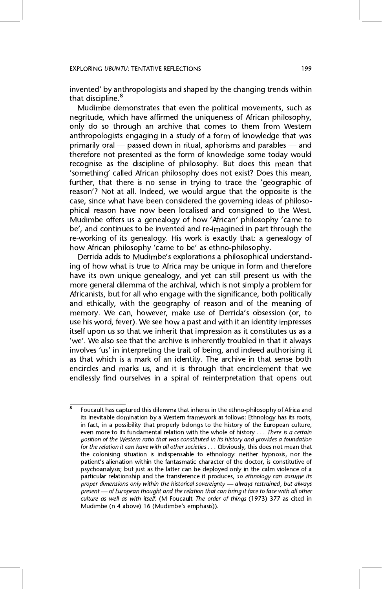invented' by anthropologists and shaped by the changing trends within that discipline.<sup>8</sup>

Mudimbe demonstrates that even the political movements, such as negritude, which have affirmed the uniqueness of African philosophy, only do so through an archive that comes to them from Western anthropologists engaging in a study of a form of knowledge that was primarily oral  $-$  passed down in ritual, aphorisms and parables  $-$  and therefore not presented as the form of knowledge some today would recognise as the discipline of philosophy. But does this mean that Foregare as the discipline of philosophy. But does not exist.<br>
`something' called African philosophy does not exist? Does this mean,<br>
further, that there is no sense in trying to trace the 'geographic of reason'? Not at all. Indeed, we would argue that the opposite is the<br>case, since what have been considered the governing ideas of philosocase, since what have been considered the governing ideas of philoso-<br>phical reason have now been localised and consigned to the West. phical reason have now been localized and consigned to the Treasure<br>Mudimbe offers us a genealogy of how 'African' philosophy 'came to<br>he', and continues to be invented and re-imagined in part through the be', and continues to be invented and re-imagined in part through the re-working of its genealogy. His work is exactly that: a genealogy of re-working of its genealogy. His work is extended in a generalogy of<br>how African philosophy 'came to be' as ethno-philosophy.<br>Derrida adds to Mudimbe's explorations a philosophical understand-

Derrida adds to Mudimbe's explorations a philosophical understandhave its own unique genealogy, and yet can still present us with the more general dilemma of the archival, which is not simply a problem for Africanists, but for all who engage with the significance, both politically and ethically, with the geography of reason and of the meaning of man entering, with the geography of reason and of the meaning of<br>memory. We can, however, make use of Derrida's obsession (or, to use his word, fever). We see how a past and with it an identity impresses itself upon us so that we inherit that impression as it constitutes us as a It is a present use that the archive is inherently troubled in that it always<br>involves 'us' in interpreting the trait of being, and indeed authorising it involves 'us' in interpreting the trait of being, and indeed authorising it as that which is a mark of an identity. The archive in that sense both encircles and marks us, and it is through that encirclement that we enchases and marks us, and it is an eagle and created that may be endlessly find ourselves in a spiral of reinterpretation that opens out

Foucault has captured this dilemma that inheres in the ethno-philosophy of Africa and its inevitable domination by a Western framework as follows: Ethnology has its roots, in fact, in a possibility that properly belongs to the history of the European culture, even more to its fundamental relation with the whole of history . . . There is a certain position of the Western ratio that was constituted in its history and provides a foundation for the relation it can have with all other societies  $\ldots$  Obviously, this does not mean that the colonising situation is indispensable to ethnology: neither hypnosis, nor the patient's alienation within the fantasmatic character of the doctor, is constitutive of paychoanalysis; but just as the latter can be deployed only in the calm violence of a psychoanalysis; but just as the latter can be deployed only in the calm violence of a<br>particular relationship and the transference it produces, so ethnology can assume its proper dimensions only within the historical sovereignty  $-$  always restrained, but always present — of European thought and the relation that can bring it face to face with all other culture as well as with itself. (M Foucault The order of things (1973) 377 as cited in Mudimbe (n 4 above) 16 (Mudimbe's emphasis)).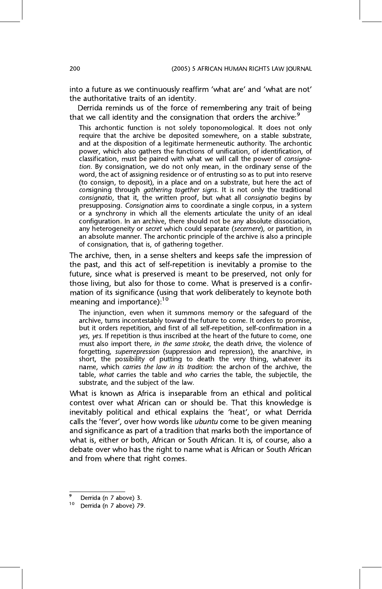into a future as we continuously reaffirm 'what are' and 'what are not'<br>the authoritative traits of an identity.

Derrida reminds us of the force of remembering any trait of being that we call identity and the consignation that orders the archive:<sup>9</sup>

This archontic function is not solely toponomological. It does not only require that the archive be deposited somewhere, on a stable substrate, and at the disposition of a legitimate hermeneutic authority. The archontic power, which also gathers the functions of unification, of identification, of classification, must be paired with what we will call the power of consignation. By consignation, we do not only mean, in the ordinary sense of the word, the act of assigning residence or of entrusting so as to put into reserve (to consign, to deposit), in a place and on a substrate, but here the act of consigning through *gathering together signs*. It is not only the traditional consignatio, that it, the written proof, but what all consignatio begins by presupposing. Consignation aims to coordinate a single corpus, in a system or a synchrony in which all the elements articulate the unity of an ideal configuration. In an archive, there should not be any absolute dissociation, any heterogeneity or secret which could separate (secernere), or partition, in an absolute manner. The archontic principle of the archive is also a principle of consignation, that is, of gathering together.

The archive, then, in a sense shelters and keeps safe the impression of the past, and this act of self-repetition is inevitably a promise to the future, since what is preserved is meant to be preserved, not only for those living, but also for those to come. What is preserved is a confirmation of its significance (using that work deliberately to keynote both mation of its significance (using the international contract) to key note both  $\frac{10}{\pi}$ .<br>The injunction even when it summons memory or the sefectuary of the

The injunction, even when it summons memory or the safeguard of the archive, turns incontestably toward the future to come. It orders to promise, but it orders repetition, and first of all self-repetition, self-confirmation in a yes, yes. If repetition is thus inscribed at the heart of the future to come, one must also import there, in the same stroke, the death drive, the violence of forgetting, superrepression (suppression and repression), the anarchive, in short, the possibility of putting to death the very thing, whatever its name, which carries the law in its tradition: the archon of the archive, the table, what carries the table and who carries the table, the subjectile, the substrate, and the subject of the law.

What is known as Africa is inseparable from an ethical and political contest over what African can or should be. That this knowledge is inevitably political and ethical explains the 'heat', or what Derrida<br>calls the 'fever', over how words like ubuntu come to be given meaning calls the 'fever', over how words like *ubuntu* come to be given meaning<br>and significance as part of a tradition that marks both the importance of what is, either or both, African or South African. It is, of course, also a debate over who has the right to name what is African or South African. and from where that right comes and from where the that  $\mathbf{g}$  is comes.

Derrida (n 7 above) 3.<br>Derrida (n 7 above) 79.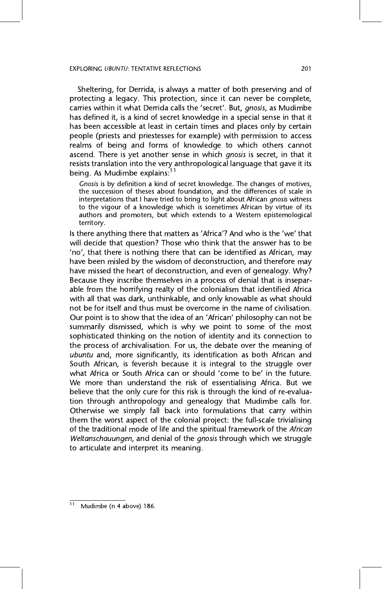Sheltering, for Derrida, is always a matter of both preserving and of protecting a legacy. This protection, since it can never be complete, protecting a riging complemently and the complete,<br>carries within it what Derrida calls the 'secret'. But, gnosis, as Mudimbe has defined it, is a kind of secret knowledge in a special sense in that it has been accessible at least in certain times and places only by certain people (priests and priestesses for example) with permission to access realms of being and forms of knowledge to which others cannot ascend. There is yet another sense in which *qnosis* is secret, in that it resists translation into the very anthropological language that gave it its resists transmission into the very anthropological language that gave it its<br>being. As Mudimbe explains:<sup>11</sup>

Gnosis is by definition a kind of secret knowledge. The changes of motives, the succession of theses about foundation, and the differences of scale in interpretations that I have tried to bring to light about African gnosis witness to the vigour of a knowledge which is sometimes African by virtue of its authors and promoters, but which extends to a Western epistemological authors and promoters, but which extends to a Western epistemological

Is there anything there that matters as 'Africa'? And who is the 'we' that<br>Is there anything there that matters as 'Africa'? And who is the 'we' that The Term that there is nothing there that can be identified as African, may<br>have been misled by the wisdom of deconstruction, and therefore may have been misled by the wisdom of deconstruction, and therefore may<br>have missed the heart of deconstruction, and even of genealogy. Why? Because they inscribe themselves in a process of denial that is inseparable from the horrifying realty of the colonialism that identified Africa with all that was dark, unthinkable, and only knowable as what should not be for itself and thus must be overcome in the name of civilisation. Our point is to show that the idea of an 'African' philosophy can not be<br>summarily dismissed, which is why we point to some of the most summarily dismissed, which is why we point to some of the most sophisticated thinking on the notion of identity and its connection to the process of archivalisation. For us, the debate over the meaning of ubuntu and, more significantly, its identification as both African and South African, is feverish because it is integral to the struggle over South African, is feverith because it is integral to the changgle over<br>what Africa or South Africa can or should 'come to be' in the future.<br>We more than understand the risk of essentialising Africa. But we We more than understand the risk of essentialising Africa. But we believe that the only cure for this risk is through the kind of re-evaluation through anthropology and genealogy that Mudimbe calls for. Otherwise we simply fall back into formulations that carry within them the worst aspect of the colonial project: the full-scale trivialising of the traditional mode of life and the spiritual framework of the African Weltanschauungen, and denial of the gnosis through which we struggle to articulate and interpret its meaning. to articulate and interpret its meaning.

Mudimbe (n 4 above) 186.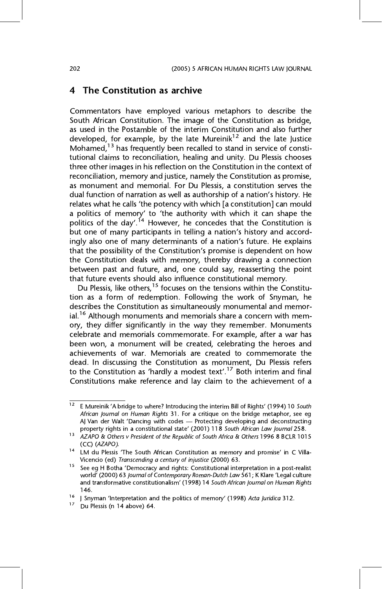#### 4 The Constitution as archive

Commentators have employed various metaphors to describe the South African Constitution. The image of the Constitution as bridge, as used in the Postamble of the interim Constitution and also further developed, for example, by the late Mureinik<sup>12</sup> and the late Justice Mohamed,  $13$  has frequently been recalled to stand in service of constitutional claims to reconciliation, healing and unity. Du Plessis chooses three other images in his reflection on the Constitution in the context of reconciliation, memory and justice, namely the Constitution as promise, as monument and memorial. For Du Plessis, a constitution serves the dual function of narration as well as authorship of a nation's history. He<br>relates what he calls 'the potency with which La constitution] can mould relates what he calls 'the potency with which [a constitution] can mould a politics of memory' to 'the authority with which it can shape the a politics of memory' to 'the authority with which it can shape the<br>politics of the day' <sup>14</sup> However, he concedes that the Constitution is politics of the day'.<sup>14</sup> However, he concedes that the Constitution is<br>but one of many participants in telling a nation's bistory and accordbut one of many participants in telling a nation's history and accordingly also one of many determinants of a nation's future. He explains that the possibility of the Constitution's promise is dependent on how the Constitution deals with memory, thereby drawing a connection between past and future, and, one could say, reasserting the point that future events should also influence constitutional memory.

Du Plessis, like others,<sup>15</sup> focuses on the tensions within the Constitution as a form of redemption. Following the work of Snyman, he describes the Constitution as simultaneously monumental and memorial.<sup>16</sup> Although monuments and memorials share a concern with memory, they differ significantly in the way they remember. Monuments celebrate and memorials commemorate. For example, after a war has been won, a monument will be created, celebrating the heroes and achievements of war. Memorials are created to commemorate the dead. In discussing the Constitution as monument, Du Plessis refers to the Constitution as 'hardly a modest text'.<sup>17</sup> Both interim and final<br>Constitutions make reference and lay claim to the achievement of a Constitutions make reference and lay claim to the achievement of a

<sup>&</sup>lt;sup>12</sup> E Mureinik 'A bridge to where? Introducing the interim Bill of Rights' (1994) 10 South *African Journal on Human Rights* 31. For a critique on the bridge metaphor, see eg AJ Van der Walt 'Dancing with codes - Protecting developing and deconstructing property rights in a constitutional state' (2001) 118 South African Law Journal 258.

<sup>&</sup>lt;sup>13</sup> AZAPO & Others v President of the Republic of South Africa & Others 1996 8 BCLR 1015<br>(CC) (AZAPO).

<sup>&</sup>lt;sup>14</sup> LM du Plessis 'The South African Constitution as memory and promise' in C Villa-<br>Vicencio (ed) Transcending a century of injustice (2000) 63.

<sup>&</sup>lt;sup>15</sup> See eg H Botha 'Democracy and rights: Constitutional interpretation in a post-realist world' (2000) 63 Journal of Contemporary Roman-Dutch Law 561; K Klare 'Legal culture and transformative constitutionalism' (1998) 14 South African Journal on Human Rights

<sup>&</sup>lt;sup>16</sup> J Snyman 'Interpretation and the politics of memory' (1998) Acta Juridica 312.<br><sup>17</sup> Du Plessis (n 14 above) 64.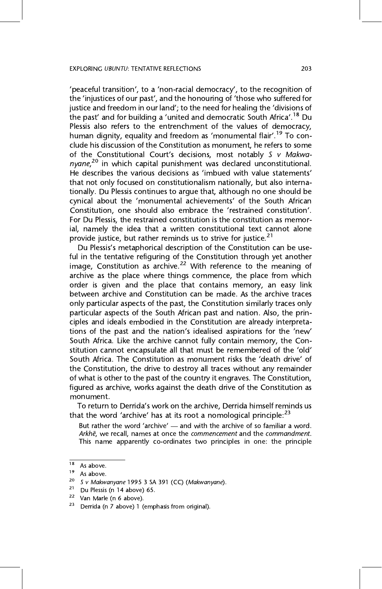'peaceful transition', to a 'non-racial democracy', to the recognition of the 'injustices of our past', and the honouring of 'those who suffered for justice and freedom in our land'; to the need for healing the 'divisions of the past' and for building a 'united and democratic South Africa'.<sup>18</sup> Du<br>Plessis also refers to the entrenchment of the values of democracy, human dignity, equality and freedom as 'monumental flair'.<sup>19</sup> To con-<br>clude his discussion of the Constitution as monument, he refers to some of the Constitutional Court's decisions, most notably S v Makwa-<br>nyane<sup>20</sup> in which capital punishment was declared unconstitutional nyane,<sup>--</sup> in which capital punishment was declared unconstitutional.<br>He describes the various decisions as 'imbued with value statements' He describes the various decisions as 'imbued with value statements'<br>that not only focused on constitutionalism nationally, but also internathat not only focused on constitutionalism nationally, but also interna-<br>tionally. Du Plessis continues to argue that, although no one should be cynical about the 'monumental achievements' of the South African<br>Constitution, one should also embrace the 'restrained constitution' Constitution, one should also embrace the 'restrained constitution'.<br>For Du Plessis, the restrained constitution is the constitution as memorial, namely the idea that a written constitutional text cannot alone provide justice, but rather reminds us to strive for justice.<sup>21</sup> provide justice, but rather reminds us to strive for justice.<sup>21</sup><br>Du Plessis's metaphorical description of the Constitution

Du Plessis's metaphorical description of the Constitution can be useful in the tentative refiguring of the Constitution through yet another image, Constitution as archive.<sup>22</sup> With reference to the meaning of archive as the place where things commence, the place from which order is given and the place that contains memory, an easy link between archive and Constitution can be made. As the archive traces only particular aspects of the past, the Constitution similarly traces only particular aspects of the South African past and nation. Also, the principles and ideals embodied in the Constitution are already interpreta-Fight and distribution are alleged in the constitution are already interpreta-<br>tions of the past and the nation's idealised aspirations for the 'new'<br>South Africa. Like the archive cannot fully contain memory, the Constitution cannot encapsulate all that must be remembered of the 'old'<br>South Africa. The Constitution as monument risks the 'death drive' of South Africa. The Constitution as monument risks the 'death drive' of the Constitution, the drive to destroy all traces without any remainder of what is other to the past of the country it engraves. The Constitution, figured as archive, works against the death drive of the Constitution as monument.

To return to Derrida's work on the archive, Derrida himself reminds us<br>that the word 'archive' has at its root a nomological principle:<sup>23</sup> that the word 'archive' has at its root a nomological principle: $^{23}$ 

But rather the word 'archive'  $-\frac{1}{2}$  and with the archive of so familiar a word.<br>Arkhē, we recall, names at once the *commencement* and the *commandment*. Arkhe<sub>t</sub>, we recall, names at once the commencement and the communication This name apparently co-ordinates two principles in one: the principle

 $\overline{18}$ 

<sup>&</sup>lt;sup>18</sup> As above.<br><sup>19</sup> As above.<br><sup>20</sup> S *v Makwanyane* 1995 3 SA 391 (CC) (Makwanyane).<br><sup>21</sup> Du Plessis (n 14 above) 65.<br><sup>22</sup> Van Marle (n 6 above).<br><sup>23</sup> Derrida (n 7 above) 1 (emphasis from original).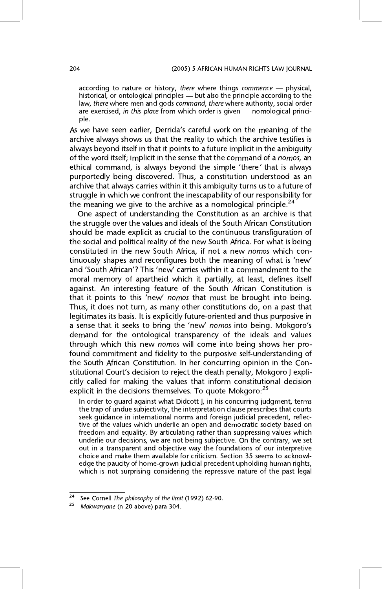according to nature or history, there where things commence  $-$  physical, historical, or ontological principles  $-$  but also the principle according to the law, there where men and gods command, there where authority, social order  $\frac{1}{2}$  are exercised in this place from which order is given  $\frac{1}{2}$  nomological princiare exercised, in this place from which order is given Ð nomological princi-

As we have seen earlier, Derrida's careful work on the meaning of the<br>archive always shows us that the reality to which the archive testifies is archive always shows us that the reality to which the archive testifies is always beyond itself in that it points to a future implicit in the ambiquity of the word itself; implicit in the sense that the command of a nomos, an of the word in the word in the community in the community of a sense that the command, is always beyond the simple 'there' that is always beyond the simple 'there' that is always purportedly being discovered. Thus, a constitution understood as an<br>archive that always carries within it this ambiguity turns us to a future of struggle in which we confront the inescapability of our responsibility for the meaning we give to the archive as a nomological principle.<sup>24</sup>

One aspect of understanding the Constitution as an archive is that the struggle over the values and ideals of the South African Constitution should be made explicit as crucial to the continuous transfiguration of the social and political reality of the new South Africa. For what is being constituted in the new South Africa, if not a new nomos which continuously shapes and reconfigures both the meaning of what is 'new'<br>and 'South African'? This 'new' carries within it a commandment to the and 'South African'? This 'new' carries within it a commandment to the moral memory of apartheid which it partially, at least, defines itself against. An interesting feature of the South African Constitution is that it points to this 'new' nomos that must be brought into being.<br>Thus it does not turn, as many other constitutions do, on a past that Thus, it does not turn, as many other constitutions do, on a past that legitimates its basis. It is explicitly future-oriented and thus purposive in Legitimates it thus the inputus future-oriented and thus purpositions<br>a sense that it seeks to bring the 'new' nomos into being. Mokgoro's<br>demand for the ontological transparency of the ideals and values demand for the ontological transparency of the ideals and values through which this new *nomos* will come into being shows her profound commitment and fidelity to the purposive self-understanding of the South African Constitution. In her concurring opinion in the Constitutional Court's decision to reject the death penalty, Mokgoro J expli-<br>citly called for making the values that inform constitutional decision explicit in the decisions themselves. To quote Mokgoro:<sup>25</sup><br>le order to quote agginet what Didenti Lip his consuming judgment, terms

In order to guard against what Didcott J, in his concurring judgment, terms the trap of undue subjectivity, the interpretation clause prescribes that courts seek quidance in international norms and foreign judicial precedent, reflective of the values which underlie an open and democratic society based on freedom and equality. By articulating rather than suppressing values which underlie our decisions, we are not being subjective. On the contrary, we set out in a transparent and objective way the foundations of our interpretive choice and make them available for criticism. Section 35 seems to acknowledge the paucity of home-grown judicial precedent upholding human rights, which is not surprising considering the repressive nature of the past legal which is not surprising considering the representation of the past legal

<sup>&</sup>lt;sup>24</sup> See Cornell The philosophy of the limit (1992) 62-90.<br><sup>25</sup> Makwanyane (n 20 above) para 304.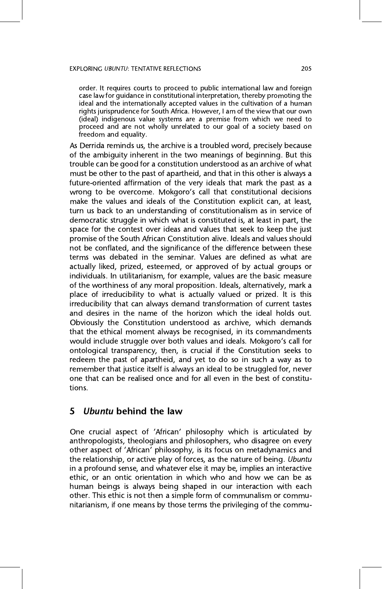order. It requires courts to proceed to public international law and foreign case law for quidance in constitutional interpretation, thereby promoting the ideal and the internationally accepted values in the cultivation of a human rights jurisprudence for South Africa. However, I am of the view that our own (ideal) indigenous value systems are a premise from which we need to proceed and are not wholly unrelated to our goal of a society based on freedom and equality.

As Derrida reminds us, the archive is a troubled word, precisely because of the ambiguity inherent in the two meanings of beginning. But this trouble can be good for a constitution understood as an archive of what must be other to the past of apartheid, and that in this other is always a future-oriented affirmation of the very ideals that mark the past as a wrong to be overcome. Mokgoro's call that constitutional decisions<br>make the values and ideals of the Constitution explicit can at least make the values and ideals of the Constitution explicit can, at least, turn us back to an understanding of constitutionalism as in service of democratic struggle in which what is constituted is, at least in part, the space for the contest over ideas and values that seek to keep the just promise of the South African Constitution alive. Ideals and values should not be conflated, and the significance of the difference between these terms was debated in the seminar. Values are defined as what are actually liked, prized, esteemed, or approved of by actual groups or individuals. In utilitarianism, for example, values are the basic measure of the worthiness of any moral proposition. Ideals, alternatively, mark a place of irreducibility to what is actually valued or prized. It is this irreducibility that can always demand transformation of current tastes and desires in the name of the horizon which the ideal holds out. Obviously the Constitution understood as archive, which demands that the ethical moment always be recognised, in its commandments would include struggle over both values and ideals. Mokgoro's call for<br>ontological transparency, then is crucial if the Constitution seeks to ontological transparency, then, is crucial if the Constitution seeks to redeem the past of apartheid, and yet to do so in such a way as to remember that justice itself is always an ideal to be struggled for, never one that can be realised once and for all even in the best of constituone that can be realised once and for all even in the best of constitu-

#### 5 Ubuntu behind the law 5 Ubuntu behind the law

One crucial aspect of 'African' philosophy which is articulated by anthropologists, theologians and philosophers, who disagree on every other aspect of 'African' philosophy, is its focus on metadynamics and<br>the relationship or active play of forces, as the nature of being. Ubuntu the relationship, or active play of forces, as the nature of being. Ubuntu<br>in a profound sense, and whatever else it may be, implies an interactive ethic, or an ontic orientation in which who and how we can be as human beings is always being shaped in our interaction with each other. This ethic is not then a simple form of communalism or commuother can consider the annual improvement of communication of the commu- $\frac{1}{2}$  and  $\frac{1}{2}$  and  $\frac{1}{2}$  the community of the community of the community of the community of the community of the community of the community of the community of the community of the community of the community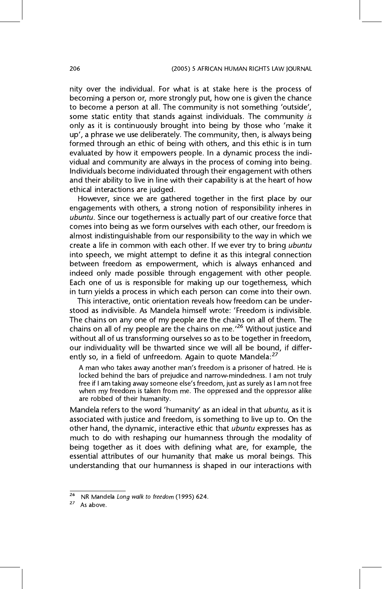nity over the individual. For what is at stake here is the process of becoming a person or, more strongly put, how one is given the chance to become a person at all. The community is not something 'outside',<br>some static entity that stands against individuals. The community is some static entity that stands against individuals. The community is only as it is continuously brought into being by those who 'make it only as it is community alreagnt into being by anti-time immediately.<br>up', a phrase we use deliberately. The community, then, is always being<br>formed through an ethic of being with others, and this ethic is in turn formed through an ethic of being with others, and this ethic is in turn evaluated by how it empowers people. In a dynamic process the individual and community are always in the process of coming into being. Individuals become individuated through their engagement with others and their ability to live in line with their capability is at the heart of how ethical interactions are judged.

However, since we are gathered together in the first place by our engagements with others, a strong notion of responsibility inheres in ubuntu. Since our togetherness is actually part of our creative force that comes into being as we form ourselves with each other, our freedom is almost indistinguishable from our responsibility to the way in which we create a life in common with each other. If we ever try to bring ubuntu into speech, we might attempt to define it as this integral connection between freedom as empowerment, which is always enhanced and indeed only made possible through engagement with other people. Each one of us is responsible for making up our togetherness, which in turn yields a process in which each person can come into their own.

This interactive, ontic orientation reveals how freedom can be understood as indivisible. As Mandela himself wrote: 'Freedom is indivisible. The chains on any one of my people are the chains on all of them. The  $T_{\text{min}}$  on all of my people are the chains on me.<sup> $26$ </sup> Without justice and<br>without all of us transforming ourselves so as to be together in freedom. without all of us transforming ourselves so as to be together in freedom, our individuality will be thwarted since we will all be bound, if differently so, in a field of unfreedom. Again to quote Mandela: $27$ <br>A man who takes away another man's freedom is a prisoner of batred. He is

A man who takes away another man's freedom is a prisoner of hatred. He is locked behind the bars of prejudice and narrow-mindedness. I am not truly free if I am taking away someone else's freedom, just as surely as I am not free<br>when my freedom is taken from me. The oppressed and the oppressor alike when my freedom is taken from me. The oppressed and the oppressor alike are robbed of their humanity.

Mandela refers to the word 'humanity' as an ideal in that *ubuntu*, as it is<br>associated with justice and freedom, is something to live un to. On the associated with justice and freedom, is something to live up to. On the other hand, the dynamic, interactive ethic that *ubuntu* expresses has as much to do with reshaping our humanness through the modality of being together as it does with defining what are, for example, the essential attributes of our humanity that make us moral beings. This essential attributes of our humanness is shaned in our interactions with understanding that our humanness is shaped in our interactions with

<sup>&</sup>lt;sup>26</sup> NR Mandela Long walk to freedom (1995) 624.<br><sup>27</sup> As above.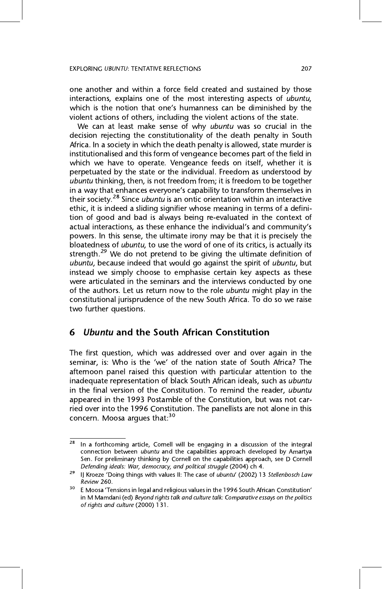one another and within a force field created and sustained by those interactions, explains one of the most interesting aspects of *ubuntu*, which is the notion that one's humanness can be diminished by the violent actions of others, including the violent actions of the state violent actions of others, including the violent actions of the state.<br>We can at least make sense of why *ubuntu* was so crucial in the

decision rejecting the constitutionality of the death penalty in South Africa. In a society in which the death penalty is allowed, state murder is institutionalised and this form of vengeance becomes part of the field in which we have to operate. Vengeance feeds on itself, whether it is perpetuated by the state or the individual. Freedom as understood by ubuntu thinking, then, is not freedom from; it is freedom to be together in the frame frame is not free to be to be to be to be to be to be to be to be to be then an interactive in a way that enhances everyone's capability to transform themselves in their society. <sup>28</sup> Since *ubuntu* is an onti their society.<sup>28</sup> Since *ubuntu* is an ontic orientation within an interactive ethic, it is indeed a sliding signifier whose meaning in terms of a definition of good and bad is always being re-evaluated in the context of actual interactions, as these enhance the individual's and community's<br>nowers. In this sense, the ultimate irony may be that it is precisely the powers. In this sense, the ultimate irony may be that it is precisely the bloatedness of *ubuntu*, to use the word of one of its critics, is actually its strength.<sup>29</sup> We do not pretend to be giving the ultimate definition of ubuntu, because indeed that would go against the spirit of ubuntu, but instead we simply choose to emphasise certain key aspects as these were articulated in the seminars and the interviews conducted by one of the authors. Let us return now to the role *ubuntu* might play in the constitutional jurisprudence of the new South Africa. To do so we raise constitutional jump constitute of the new South Africa. To do so we raise two further questions.

#### Ubuntu and the South African Constitution 6 6 Ubuntu and the South African Constitution

seminar, is: Who is the 'we' of the nation state of South Africa? The<br>afternoon panel raised this question with particular attention to the afternoon panel raised this question with particular attention to the inadequate representation of black South African ideals, such as *ubuntu* in the final version of the Constitution. To remind the reader, ubuntu appeared in the 1993 Postamble of the Constitution, but was not carried over into the 1996 Constitution. The panellists are not alone in this ried over into the 1996 Constitution. The panellists are not alone in this concern. Moosa argues that:<sup>30</sup>

 $\overline{28}$  In a forthcoming article, Cornell will be engaging in a discussion of the integral connection between *ubuntu* and the capabilities approach developed by Amartya Sen. For preliminary thinking by Cornell on the capabilities approach, see D Cornell Defending ideals: War, democracy, and political struggle (2004) ch 4.

<sup>&</sup>lt;sup>29</sup> IJ Kroeze 'Doing things with values II: The case of ubuntu' (2002) 13 Stellenbosch Law Review 260.

<sup>&</sup>lt;sup>30</sup> E Moosa 'Tensions in legal and religious values in the 1996 South African Constitution' in M Mamdani (ed) *Beyond rights talk and culture talk: Comparative essays on the politics* of rights and culture  $(2000)$  131 of rights and culture (2000) 131.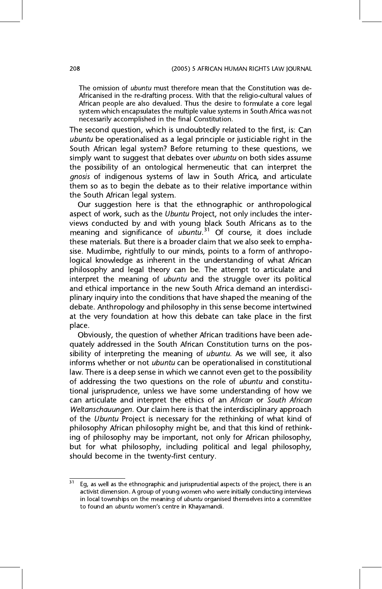The omission of *ubuntu* must therefore mean that the Constitution was de-<br>Africanised in the re-drafting process. With that the religio-cultural values of African people are also devalued. Thus the desire to formulate a core legal system which encapsulates the multiple value systems in South Africa was not necessarily accomplished in the final Constitution.

The second question, which is undoubtedly related to the first, is: Can ubuntu be operationalised as a legal principle or justiciable right in the South African legal system? Before returning to these questions, we simply want to suggest that debates over ubuntu on both sides assume the possibility of an ontological hermeneutic that can interpret the gnosis of indigenous systems of law in South Africa, and articulate them so as to begin the debate as to their relative importance within the South African legal system.

Our suggestion here is that the ethnographic or anthropological aspect of work, such as the Ubuntu Project, not only includes the interaspect of work, such as the Ubanda Project, not only included the inter- $\frac{1}{2}$  conducted by and the young black South African as to the meaning and significance of upuntua<sup>31</sup>. Of course it does include meaning and significance of *ubuntu*." Of course, it does include<br>these materials But there is a broader claim that we also seek to emphasise. Mudimbe, rightfully to our minds, points to a form of anthropological knowledge as inherent in the understanding of what African philosophy and legal theory can be. The attempt to articulate and interpret the meaning of *ubuntu* and the struggle over its political and ethical importance in the new South Africa demand an interdisciplinary inquiry into the conditions that have shaped the meaning of the debate. Anthropology and philosophy in this sense become intertwined at the very foundation at how this debate can take place in the first at the very foundation at how this debate can take place in the first place.<br>Obviously, the question of whether African traditions have been ade-

quately addressed in the South African Constitution turns on the possibility of interpreting the meaning of ubuntu. As we will see, it also informs whether or not ubuntu can be operationalised in constitutional law. There is a deep sense in which we cannot even get to the possibility of addressing the two questions on the role of ubuntu and constitutional jurisprudence, unless we have some understanding of how we can articulate and interpret the ethics of an African or South African Weltanschauungen. Our claim here is that the interdisciplinary approach of the Ubuntu Project is necessary for the rethinking of what kind of philosophy African philosophy might be, and that this kind of rethinking of philosophy may be important, not only for African philosophy, but for what philosophy, including political and legal philosophy,  $\frac{1}{2}$  for the philosophy, including political and legal philosophy, should become in the twenty-first century.

208

 $31$  Eg, as well as the ethnographic and jurisprudential aspects of the project, there is an activist dimension. A group of young women who were initially conducting interviews in local townships on the meaning of *ubuntu* organised themselves into a committee to found an *ubuntu* women's centre in Khayamandi.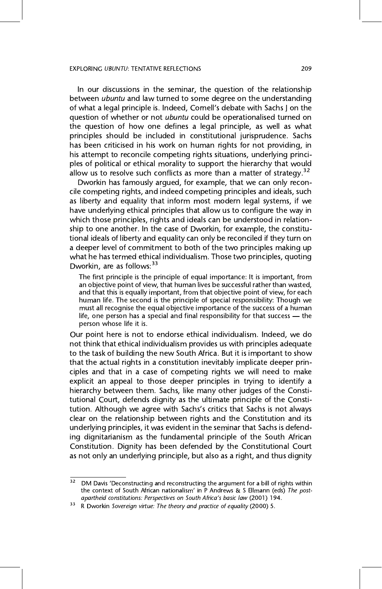In our discussions in the seminar, the question of the relationship<br>between *ubuntu* and law turned to some degree on the understanding of what a legal principle is. Indeed, Cornell's debate with Sachs J on the understanding of whether or not unit could be operationalised turned on question of whether or not *ubuntu* could be operationalised turned on<br>the question of how one defines a legal principle, as well as what principles should be included in constitutional jurisprudence. Sachs has been criticised in his work on human rights for not providing, in his attempt to reconcile competing rights situations, underlying principles of political or ethical morality to support the hierarchy that would allow us to resolve such conflicts as more than a matter of strategy.<sup>32</sup>

Dworkin has famously argued, for example, that we can only reconcile competing rights, and indeed competing principles and ideals, such as liberty and equality that inform most modern legal systems, if we have underlying ethical principles that allow us to configure the way in which those principles, rights and ideals can be understood in relationship to one another. In the case of Dworkin, for example, the constitutional ideals of liberty and equality can only be reconciled if they turn on a deeper level of commitment to both of the two principles making up what he has termed ethical individualism. Those two principles, quoting Dworkin, are as follows:<sup>33</sup><br>The first principle is the principle of equal importance, it is important, from

The first principle is the principle of equal importance: It is important, from<br>an objective point of view, that human lives be successful rather than wasted, and that this is equally important, from that objective point of view, for each human life. The second is the principle of special responsibility: Though we must all recognise the equal objective importance of the success of a human life, one person has a special and final responsibility for that success  $-$  the person whose life it is.

Our point here is not to endorse ethical individualism. Indeed, we do not think that ethical individualism provides us with principles adequate to the task of building the new South Africa. But it is important to show that the actual rights in a constitution inevitably implicate deeper principles and that in a case of competing rights we will need to make explicit an appeal to those deeper principles in trying to identify a hierarchy between them. Sachs, like many other judges of the Constitutional Court, defends dignity as the ultimate principle of the Constitution. Although we agree with Sachs's critics that Sachs is not always<br>clear on the relationship between rights and the Constitution and its clear on the relationship between rights and the Constitution and its<br>underlying principles, it was evident in the seminar that Sachs is defending dignitarianism as the fundamental principle of the South African Constitution. Dignity has been defended by the Constitutional Court as not only an underlying principle, but also as a right, and thus dignity as not only an underlying principle, but also as a right, and thus dignity

<sup>32</sup> DM Davis `Deconstructing and reconstructing the argument for a bill of rights within the context of South African nationalism' in P Andrews & S Ellmann (eds) The postapartheid constitutions: Perspectives on South Africa's basic law (2001) 194.<br><sup>33</sup> R Dworkin Sovereign virtue: The theory and practice of equality (2000) 5.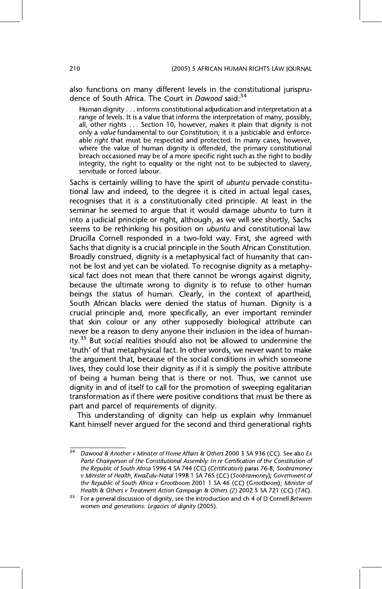dence of South Africa. The Court in Dawood said:<sup>34</sup>

Human dignity . . . informs constitutional adjudication and interpretation at a range of levels. It is a value that informs the interpretation of many, possibly, all, other rights ... Section 10, however, makes it plain that dignity is not only a value fundamental to our Constitution; it is a justiciable and enforceable right that must be respected and protected. In many cases, however, where the value of human dignity is offended, the primary constitutional breach occasioned may be of a more specific right such as the right to bodily integrity, the right to equality or the right not to be subjected to slavery, servitude or forced labour.

Sachs is certainly willing to have the spirit of *ubuntu* pervade constitutional law and indeed, to the degree it is cited in actual legal cases, recognises that it is a constitutionally cited principle. At least in the seminar he seemed to argue that it would damage ubuntu to turn it into a judicial principle or right, although, as we will see shortly, Sachs seems to be rethinking his position on ubuntu and constitutional law. Drucilla Cornell responded in a two-fold way. First, she agreed with Sachs that dignity is a crucial principle in the South African Constitution. Broadly construed, dignity is a metaphysical fact of humanity that cannot be lost and yet can be violated. To recognise dignity as a metaphysical fact does not mean that there cannot be wrongs against dignity, because the ultimate wrong to dignity is to refuse to other human beings the status of human. Clearly, in the context of apartheid, South African blacks were denied the status of human. Dignity is a crucial principle and, more specifically, an ever important reminder that skin colour or any other supposedly biological attribute can never be a reason to deny anyone their inclusion in the idea of humanity.<sup>35</sup> But social realities should also not be allowed to undermine the ity.<sup>33</sup> But social realities should also not be allowed to undermine the<br>fruth' of that metaphysical fact. In other words, we never want to make `truth' of that metaphysical fact. In other words, we never want to make the argument that, because of the social conditions in which someone lives, they could lose their dignity as if it is simply the positive attribute of being a human being that is there or not. Thus, we cannot use dignity in and of itself to call for the promotion of sweeping egalitarian transformation as if there were positive conditions that must be there as part and parcel of requirements of dignity.

This understanding of dignity can help us explain why Immanuel Kant himself never argued for the second and third generational rights  $K_{\rm s}$  are second and third generational rights generation  $\epsilon$ 

<sup>34</sup> Dawood & Another v Minister of Home Affairs & Others 2000 3 SA 936 (CC). See also Ex<br>Parte Chairperson of the Constitutional Assembly: In re Certification of the Constitution of the Republic of South Africa 1996 4 SA 744 (CC) (Certification) paras 76-8; Soobramoney v Minister of Health, KwaZulu-Natal 1998 1 SA 765 (CC) (Soobramoney); Government of the Republic of South Africa v Grootboom 2001 1 SA 46 (CC) (Grootboom); Minister of Health & Others v Treatment Action Campaign & Others (2) 2002 5 SA 721 (CC) (TAC).

For a general discussion of dignity, see the introduction and ch 4 of D Cornell Between women and generations: Legacies of dignity (2005).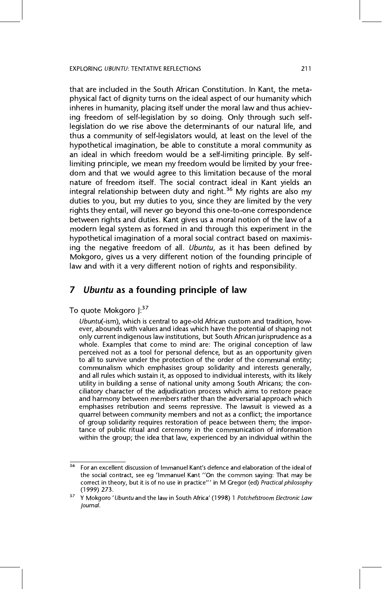that are included in the South African Constitution. In Kant, the meta-<br>physical fact of dignity turns on the ideal aspect of our humanity which inheres in humanity, placing itself under the moral law and thus achieving freedom of self-legislation by so doing. Only through such selflegislation do we rise above the determinants of our natural life, and thus a community of self-legislators would, at least on the level of the hypothetical imagination, be able to constitute a moral community as an ideal in which freedom would be a self-limiting principle. By selflimiting principle, we mean my freedom would be limited by your freedom and that we would agree to this limitation because of the moral nature of freedom itself. The social contract ideal in Kant yields an integral relationship between duty and right.<sup>36</sup> My rights are also my duties to you, but my duties to you, since they are limited by the very rights they entail, will never go beyond this one-to-one correspondence between rights and duties. Kant gives us a moral notion of the law of a modern legal system as formed in and through this experiment in the hypothetical imagination of a moral social contract based on maximising the negative freedom of all. Ubuntu, as it has been defined by Mokgoro, gives us a very different notion of the founding principle of Mongolo, gives us a very different notion of rights and responsibility law and with it a very different notion of rights and responsibility.

#### $\overline{7}$  $7 \times 1000$  m as a founding principle of law

To quote Mokgoro J:<sup>37</sup><br>*Ubuntu*(-ism), which is central to age-old African custom and tradition, however, abounds with values and ideas which have the potential of shaping not only current indigenous law institutions, but South African jurisprudence as a whole. Examples that come to mind are: The original conception of law perceived not as a tool for personal defence, but as an opportunity given to all to survive under the protection of the order of the communal entity; communalism which emphasises group solidarity and interests generally, and all rules which sustain it, as opposed to individual interests, with its likely utility in building a sense of national unity among South Africans; the conciliatory character of the adjudication process which aims to restore peace and harmony between members rather than the adversarial approach which emphasises retribution and seems repressive. The lawsuit is viewed as a quarrel between community members and not as a conflict; the importance of group solidarity requires restoration of peace between them; the importance of public ritual and ceremony in the communication of information within the group; the idea that law, experienced by an individual within the  $\mathcal{L}_{\mathcal{D}}$  is equal that law, experienced by an individual within the individual within the individual within the individual within the individual within the individual within the individual within the individual with

<sup>&</sup>lt;sup>36</sup> For an excellent discussion of Immanuel Kant's defence and elaboration of the ideal of the social contract, see eg 'Immanuel Kant ''On the common saying: That may be correct in theory, but it is of no use in practice''' in M Gregor (ed) Practical philosophy<br>(1999) 273

<sup>(1999) 273.&</sup>lt;br><sup>37</sup> Y Mokgoro 'Ubuntu and the law in South Africa' (1998) 1 Potchefstroom Electronic Law<br>lournal. Journal.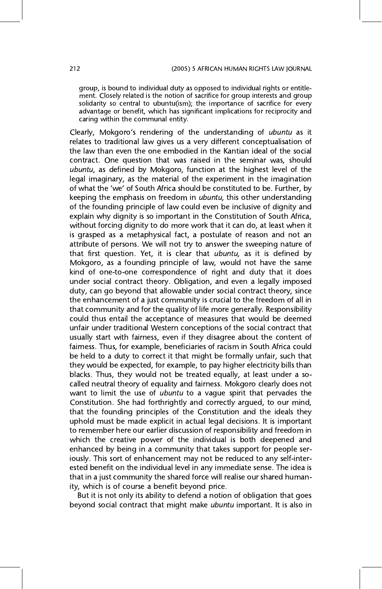group, is bound to individual duty as opposed to individual rights or entitle-<br>ment. Closely related is the notion of sacrifice for group interests and group solidarity so central to ubuntu(ism); the importance of sacrifice for every advantage or benefit, which has significant implications for reciprocity and advantage or benefit, which has significant implications for reciprocity and caring within the communal entity.

Clearly, Mokgoro's rendering of the understanding of *ubuntu* as it relates to traditional law gives us a very different conceptualisation of the law than even the one embodied in the Kantian ideal of the social contract. One question that was raised in the seminar was, should ubuntu, as defined by Mokgoro, function at the highest level of the legal imaginary, as the material of the experiment in the imagination of what the 'we' of South Africa should be constituted to be. Further, by<br>keeping the emphasis on freedom in uhuntu, this other understanding keeping the emphasis on freedom in *ubuntu*, this other understanding of the founding principle of law could even be inclusive of dignity and explain why dignity is so important in the Constitution of South Africa, without forcing dignity to do more work that it can do, at least when it is grasped as a metaphysical fact, a postulate of reason and not an attribute of persons. We will not try to answer the sweeping nature of that first question. Yet, it is clear that ubuntu, as it is defined by Mokgoro, as a founding principle of law, would not have the same kind of one-to-one correspondence of right and duty that it does under social contract theory. Obligation, and even a legally imposed duty, can go beyond that allowable under social contract theory, since the enhancement of a just community is crucial to the freedom of all in that community and for the quality of life more generally. Responsibility could thus entail the acceptance of measures that would be deemed unfair under traditional Western conceptions of the social contract that usually start with fairness, even if they disagree about the content of fairness. Thus, for example, beneficiaries of racism in South Africa could be held to a duty to correct it that might be formally unfair, such that they would be expected, for example, to pay higher electricity bills than blacks. Thus, they would not be treated equally, at least under a socalled neutral theory of equality and fairness. Mokgoro clearly does not want to limit the use of ubuntu to a vaque spirit that pervades the Constitution. She had forthrightly and correctly arqued, to our mind, that the founding principles of the Constitution and the ideals they uphold must be made explicit in actual legal decisions. It is important to remember here our earlier discussion of responsibility and freedom in which the creative power of the individual is both deepened and enhanced by being in a community that takes support for people seriously. This sort of enhancement may not be reduced to any self-interested benefit on the individual level in any immediate sense. The idea is that in a just community the shared force will realise our shared humanity, which is of course a benefit beyond price.

But it is not only its ability to defend a notion of obligation that goes But it is the first in the first of our product in the goes of our product and goes beyond social contract that might make ubuntu important. It is also in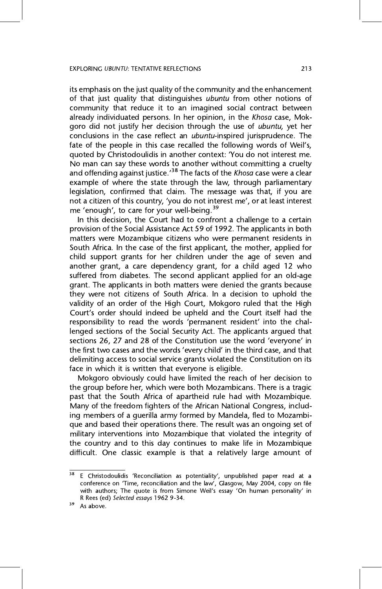its emphasis on the just quality of the community and the enhancement<br>of that just quality that distinguishes *ubuntu* from other notions of community that reduce it to an imagined social contract between already individuated persons. In her opinion, in the Khosa case, Mokgoro did not justify her decision through the use of ubuntu, yet her conclusions in the case reflect an *ubuntu*-inspired jurisprudence. The Fate of the people in this case recalled the following words of Weil's,<br>quoted by Christodoulidis in another context: 'You do not interest me quoted by Christodoulidis in another context: 'You do not interest me.<br>No man can say these words to another without committing a cruelty and offending against justice.'<sup>38</sup> The facts of the Khosa case were a clear<br>example of where the state through the law, through parliamentary example of where the state through the law, through parliamentary<br>legislation, confirmed that claim. The message was that, if you are not a citizen of this country, 'you do not interest me', or at least interest<br>me 'enough', to care for your well-being  $39$ me 'enough', to care for your well-being.<sup>39</sup><br>In this decision, the Court had to confront a challenge to a certain

provision of the Social Assistance Act 59 of 1992. The applicants in both matters were Mozambique citizens who were permanent residents in South Africa. In the case of the first applicant, the mother, applied for child support grants for her children under the age of seven and another grant, a care dependency grant, for a child aged 12 who suffered from diabetes. The second applicant applied for an old-age grant. The applicants in both matters were denied the grants because they were not citizens of South Africa. In a decision to uphold the validity of an order of the High Court, Mokgoro ruled that the High value of the High Court's order should indeed be upheld and the Court itself had the responsibility to read the words 'nermanent resident' into the chalresponsibility to read the words 'permanent resident' into the chal-<br>lenged sections of the Social Security Act. The applicants arqued that sections 26, 27 and 28 of the Constitution use the word 'everyone' in<br>the first two cases and the words 'every child' in the third case, and that the first two cases and the words 'every child' in the third case, and that delimiting access to social service grants violated the Constitution on its face in which it is written that everyone is eligible.

Mokgoro obviously could have limited the reach of her decision to the group before her, which were both Mozambicans. There is a tragic past that the South Africa of apartheid rule had with Mozambique. Many of the freedom fighters of the African National Congress, including members of a guerilla army formed by Mandela, fled to Mozambique and based their operations there. The result was an ongoing set of military interventions into Mozambique that violated the integrity of the country and to this day continues to make life in Mozambique  $\frac{1}{100}$  difficult  $\frac{1}{100}$  classic example is that a relatively large amount of difficult. One classic example is that a relatively large amount of

 $\overline{38}$  E Christodoulidis 'Reconciliation as potentiality', unpublished paper read at a conference on 'Time, reconciliation and the law', Glasgow, May 2004, copy on file with authors; The quote is from Simone Weil's essay 'On human personality' in R Rees (ed) Selected essays 1962 9-34.

 $39$  As above.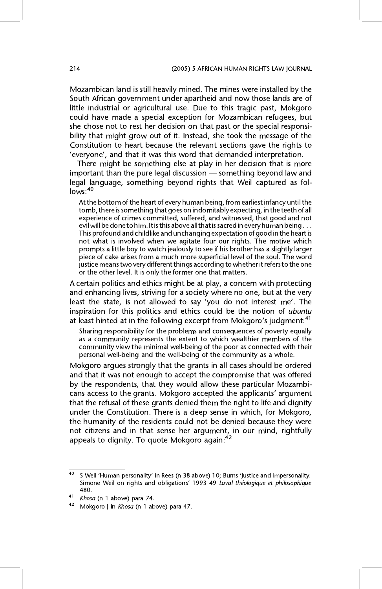Mozambican land is still heavily mined. The mines were installed by the little industrial or agricultural use. Due to this tragic past, Mokgoro could have made a special exception for Mozambican refugees, but she chose not to rest her decision on that past or the special responsibility that might grow out of it. Instead, she took the message of the Constitution to heart because the relevant sections gave the rights to Constitution to heart a statute the relevant sections gave the rights to<br>
`everyone', and that it was this word that demanded interpretation.<br>
There might be something else at play in her decision that is more

There might be something else at play in her decision that is more important than the pure legal discussion — something beyond law and important than the pure legal discussion  $\sim$  something beyond that  $\sim$  something beyond rights that Weil cantured as followed  $l_{\text{OMS}}$ , something beyond rights that Weil captured as  $\frac{1}{2}$ lows:<sup>40</sup><br>At the bottom of the heart of every human being, from earliest infancy until the

tomb, there is something that goes on indomitably expecting, in the teeth of all experience of crimes committed, suffered, and witnessed, that good and not evil will be done to him. It is this above all that is sacred in every human being  $\dots$ This profound and childlike and unchanging expectation of good in the heart is not what is involved when we agitate four our rights. The motive which prompts a little boy to watch jealously to see if his brother has a slightly larger piece of cake arises from a much more superficial level of the soul. The word justice means two very different things according to whether it refers to the one or the other level. It is only the former one that matters.

A certain politics and ethics might be at play, a concern with protecting and enhancing lives, striving for a society where no one, but at the very least the state, is not allowed to say 'you do not interest me'. The<br>least the state, is not allowed to say 'you do not interest me'. The at least hinted at in the following excerpt from Mokgoro's judgment:<sup>41</sup>

Sharing responsibility for the problems and consequences of poverty equally as a community represents the extent to which wealthier members of the community view the minimal well-being of the poor as connected with their personal well-being and the well-being of the community as a whole.

Mokgoro argues strongly that the grants in all cases should be ordered and that it was not enough to accept the compromise that was offered by the respondents, that they would allow these particular Mozambicans access to the grants. Mokgoro accepted the applicants' argument<br>that the refusal of these grants denied them the right to life and dignity that the refusal of these grants denied them the right to life and dignity under the Constitution. There is a deep sense in which, for Mokgoro, the humanity of the residents could not be denied because they were not citizens and in that sense her argument, in our mind, rightfully appeals to dignity. To quote Mokgoro again:<sup>42</sup>

<sup>5</sup> Weil 'Human personality' in Rees (n 38 above) 10; Burns 'Justice and impersonality: Simone Weil on rights and obligations' 1993 49 Laval théologique et philosophique<br>480.

<sup>&</sup>lt;sup>41</sup> Khosa (n 1 above) para 74.<br><sup>42</sup> Mokgoro J in Khosa (n 1 above) para 47.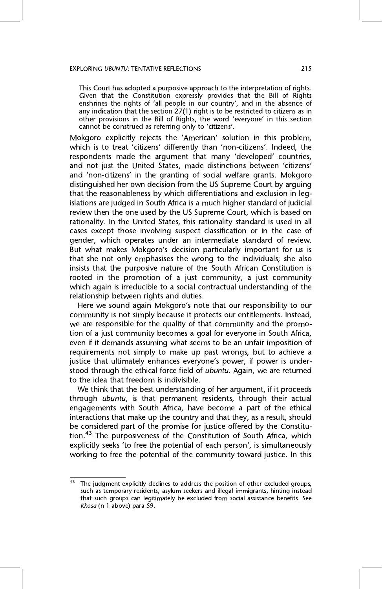This Court has adopted a purposive approach to the interpretation of rights.<br>Given that the Constitution expressly provides that the Bill of Rights enshrines the rights of 'all people in our country', and in the absence of any indication that the section 27(1) right is to be restricted to citizens as in other provisions in the Bill of Rights, the word 'everyone' in this section<br>cannot be construed as referring only to 'citizens' cannot be construed as referring only to 'citizens'.

Mokgoro explicitly rejects the `American' solution in this problem, which is to treat 'citizens' differently than 'non-citizens'. Indeed, the respondents made the argument that many 'developed' countries, and not just the United States, made distinctions between 'citizens' and 'non-citizens' in the granting of social welfare grants. Mokgoro distinguished her own decision from the US Supreme Court by arquing that the reasonableness by which differentiations and exclusion in legislations are judged in South Africa is a much higher standard of judicial review then the one used by the US Supreme Court, which is based on rationality. In the United States, this rationality standard is used in all cases except those involving suspect classification or in the case of gender, which operates under an intermediate standard of review. gender, what makes Mokgoro's decision particularly important for us is<br>that she not only emphasises the wrong to the individuals: she also that she not only emphasises the wrong to the individuals; she also insists that the purposive nature of the South African Constitution is rooted in the promotion of a just community, a just community which again is irreducible to a social contractual understanding of the relationship between rights and duties.

Fram Frinch rights and duties.<br>Here we sound again Mokgoro's note that our responsibility to our<br>community is not simply because it protects our entitlements Instead community is not simply because it protects our entitlements. Instead, we are responsible for the quality of that community and the promotion of a just community becomes a goal for everyone in South Africa, even if it demands assuming what seems to be an unfair imposition of requirements not simply to make up past wrongs, but to achieve a justice that ultimately enhances everyone's power, if power is under-<br>stood through the ethical force field of ubuntu. Again, we are returned stood through the ethical force field of *ubuntu*. Again, we are returned to the idea that freedom is indivisible.

We think that the best understanding of her argument, if it proceeds through *ubuntu*, is that permanent residents, through their actual engagements with South Africa, have become a part of the ethical interactions that make up the country and that they, as a result, should be considered part of the promise for justice offered by the Constitution.<sup>43</sup> The purposiveness of the Constitution of South Africa, which tion. 43 The purposiveness of the Constitution of South Africa, which<br>explicitly seeks 'to free the potential of each person', is simultaneously explicitly seeks 'to free the potential of each person', is simultaneously<br>working to free the potential of the community toward justice. In this working to free the potential of the community toward justice. In this

 $43$  The judgment explicitly declines to address the position of other excluded groups, such as temporary residents, asylum seekers and illegal immigrants, hinting instead that such groups can legitimately be excluded from social assistance benefits. See  $k$ hosa (n. 1 above) bara 59  $k_{\text{max}}$  (n 1 above) para 59.1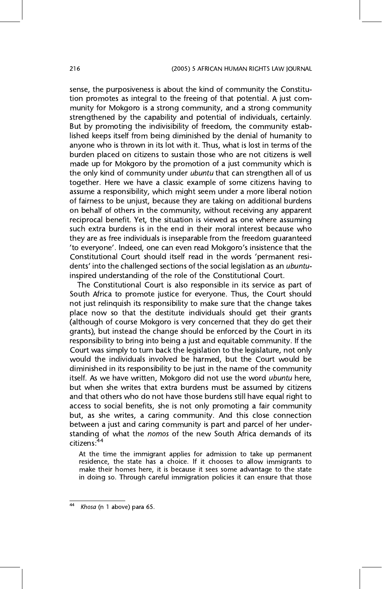sense, the purposiveness is about the kind of community the Constitution promotes as integral to the freeing of that potential. A just community for Mokgoro is a strong community, and a strong community strengthened by the capability and potential of individuals, certainly. But by promoting the indivisibility of freedom, the community established keeps itself from being diminished by the denial of humanity to anyone who is thrown in its lot with it. Thus, what is lost in terms of the burden placed on citizens to sustain those who are not citizens is well made up for Mokgoro by the promotion of a just community which is the only kind of community under ubuntu that can strengthen all of us together. Here we have a classic example of some citizens having to assume a responsibility, which might seem under a more liberal notion of fairness to be unjust, because they are taking on additional burdens on behalf of others in the community, without receiving any apparent reciprocal benefit. Yet, the situation is viewed as one where assuming such extra burdens is in the end in their moral interest because who they are as free individuals is inseparable from the freedom quaranteed they are as free individuals is inseparable from the freedom guaranteed.<br>The everyone'. Indeed, one can even read Mokgoro's insistence that the<br>Constitutional Court should itself read in the words 'nermanent residents' into the challenged sections of the social legislation as an ubuntu-<br>inspired understanding of the role of the Constitutional Court inspired understanding of the role of the Constitutional Court.<br>The Constitutional Court is also responsible in its service as part of

South Africa to promote justice for everyone. Thus, the Court should not just relinguish its responsibility to make sure that the change takes place now so that the destitute individuals should get their grants (although of course Mokgoro is very concerned that they do get their grants), but instead the change should be enforced by the Court in its responsibility to bring into being a just and equitable community. If the Court was simply to turn back the legislation to the legislature, not only would the individuals involved be harmed, but the Court would be diminished in its responsibility to be just in the name of the community itself. As we have written, Mokgoro did not use the word ubuntu here, but when she writes that extra burdens must be assumed by citizens and that others who do not have those burdens still have equal right to access to social benefits, she is not only promoting a fair community but, as she writes, a caring community. And this close connection between a just and caring community is part and parcel of her understanding of what the nomos of the new South Africa demands of its  $\frac{1}{\pi}$  citizens:<sup>44</sup>

At the time the immigrant applies for admission to take up permanent residence, the state has a choice. If it chooses to allow immigrants to make their homes here, it is because it sees some advantage to the state in doing so. Through careful immigration policies it can ensure that those in doing so. Through careful immigration policies it can ensure that those

Khosa (n 1 above) para  $65$ .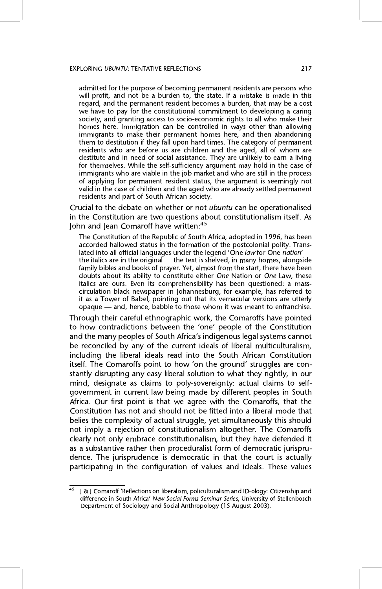admitted for the purpose of becoming permanent residents are persons who will profit, and not be a burden to, the state. If a mistake is made in this regard, and the permanent resident becomes a burden, that may be a cost we have to pay for the constitutional commitment to developing a caring society, and granting access to socio-economic rights to all who make their homes here. Immigration can be controlled in ways other than allowing immigrants to make their permanent homes here, and then abandoning them to destitution if they fall upon hard times. The category of permanent residents who are before us are children and the aged, all of whom are destitute and in need of social assistance. They are unlikely to earn a living for themselves. While the self-sufficiency argument may hold in the case of immigrants who are viable in the job market and who are still in the process of applying for permanent resident status, the argument is seemingly not valid in the case of children and the aged who are already settled permanent residents and part of South African society.

Crucial to the debate on whether or not ubuntu can be operationalised in the Constitution are two questions about constitutionalism itself. As in the Constitution are two questions about constitutions about constitutions about constitution of the Penullie of South Africa, adapted in 1996, has been

The Constitution of the Republic of South Africa, adopted in 1996, has been accorded hallowed status in the formation of the postcolonial polity. Translated into all official languages under the legend 'One *law* for One *nation'*  $\overline{\phantom{a}}$ <br>the italics are in the original  $\overline{\phantom{a}}$  the text is shelved in many homes alongside the italics are in the original — the text is shelved, in many homes, alongside family bibles and books of prayer. Yet, almost from the start, there have been doubts about its ability to constitute either One Nation or One Law; these italics are ours. Even its comprehensibility has been questioned: a masscirculation black newspaper in Johannesburg, for example, has referred to it as a Tower of Babel, pointing out that its vernacular versions are utterly opaque — and, hence, babble to those whom it was meant to enfranchise.

Through their careful ethnographic work, the Comaroffs have pointed Through their careful ethnographic work, the Comaronic pointed<br>to how contradictions between the 'one' people of the Constitution<br>and the many peoples of South Africa's indigenous legal systems cannot and the many peoples of South Africa's indigenous legal systems cannot be reconciled by any of the current ideals of liberal multiculturalism, including the liberal ideals read into the South African Constitution itself. The Comaroffs point to how 'on the ground' struggles are con-<br>stantly discupting any easy liberal solution to what they rightly in our stantly disrupting any easy liberal solution to what they rightly, in our mind, designate as claims to poly-sovereignty: actual claims to selfgovernment in current law being made by different peoples in South Africa. Our first point is that we agree with the Comaroffs, that the Constitution has not and should not be fitted into a liberal mode that belies the complexity of actual struggle, yet simultaneously this should not imply a rejection of constitutionalism altogether. The Comaroffs clearly not only embrace constitutionalism, but they have defended it as a substantive rather then proceduralist form of democratic jurisprudence. The jurisprudence is democratic in that the court is actually mentation of the problem in the configuration of values and ideals. These values participating in the configuration of values and ideals. The configuration of values and ideals. The configuration of values  $\sigma$ 

J & J Comaroff Reflections on liberalism, policulturalism and ID-ology: Citizenship and<br>difference in South Africa' New Social Forms Seminar Series, University of Stellenbosch<br>Department of Sociology and Social Apthropolog Department of Sociology and Social Anthropology (15 August 2003).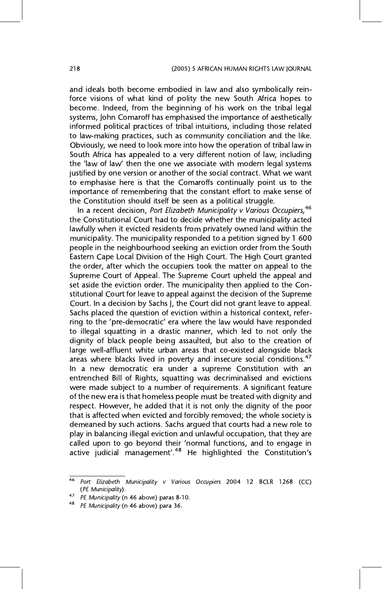and ideals both become embodied in law and also symbolically rein-<br>force visions of what kind of polity the new South Africa hopes to become. Indeed, from the beginning of his work on the tribal legal systems, John Comaroff has emphasised the importance of aesthetically informed political practices of tribal intuitions, including those related to law-making practices, such as community conciliation and the like. Obviously, we need to look more into how the operation of tribal law in South Africa has appealed to a very different notion of law, including Frame and the top person of a very different notion of law, including<br>the 'law of law' then the one we associate with modern legal systems<br>institied by one version or another of the social contract. What we want justified by one version or another of the social contract. What we want to emphasise here is that the Comaroffs continually point us to the importance of remembering that the constant effort to make sense of the Constitution should itself be seen as a political struggle.

In a recent decision, Port Elizabeth Municipality v Various Occupiers,<sup>46</sup> the Constitutional Court had to decide whether the municipality acted lawfully when it evicted residents from privately owned land within the municipality. The municipality responded to a petition signed by 1 600 people in the neighbourhood seeking an eviction order from the South Eastern Cape Local Division of the High Court. The High Court granted the order, after which the occupiers took the matter on appeal to the Supreme Court of Appeal. The Supreme Court upheld the appeal and set aside the eviction order. The municipality then applied to the Constitutional Court for leave to appeal against the decision of the Supreme Court. In a decision by Sachs J, the Court did not grant leave to appeal. Sachs placed the question of eviction within a historical context, refer-Final placed are question of evident minimum a historical context, references<br>to illegal squatting in a drastic manner, which led to not only the to illegal squatting in a drastic manner, which led to not only the dignity of black people being assaulted, but also to the creation of large well-affluent white urban areas that co-existed alongside black areas where blacks lived in poverty and insecure social conditions.<sup>47</sup> In a new democratic era under a supreme Constitution with an entrenched Bill of Rights, squatting was decriminalised and evictions were made subject to a number of requirements. A significant feature of the new era is that homeless people must be treated with dignity and respect. However, he added that it is not only the dignity of the poor that is affected when evicted and forcibly removed; the whole society is demeaned by such actions. Sachs argued that courts had a new role to play in balancing illegal eviction and unlawful occupation, that they are program in balancing in grad the uncertainty in the unit of the uncertainty of the uncertainty of the uncertainty of the uncertainty of the uncertainty of the uncertainty of the uncertainty of the uncertainty of the uncert active judicial management'.<sup>48</sup> He highlighted the Constitution's

 $46$  Port Elizabeth Municipality v Various Occupiers 2004 12 BCLR 1268 (CC)<br>(PE Municipality).

<sup>&</sup>lt;sup>47</sup> PE Municipality (n 46 above) paras 8-10.<br><sup>48</sup> PE Municipality (n 46 above) para 36.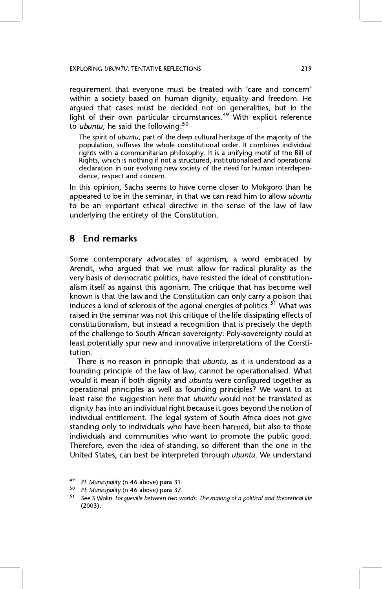requirement that everyone must be treated with 'care and concern'<br>within a society based on human dignity, equality and freedom. He argued that cases must be decided not on generalities, but in the light of their own particular circumstances.<sup>49</sup> With explicit reference<br>to uhuntu, be said the following:<sup>50</sup> to *ubuntu*, he said the following:<sup>50</sup><br>The spirit of *ubuntu*, part of the deep cultural heritage of the majority of the

population, suffuses the whole constitutional order. It combines individual rights with a communitarian philosophy. It is a unifying motif of the Bill of Rights, which is nothing if not a structured, institutionalised and operational declaration in our evolving new society of the need for human interdependence, respect and concern.

In this opinion, Sachs seems to have come closer to Mokgoro than he appeared to be in the seminar, in that we can read him to allow ubuntu to be an important ethical directive in the sense of the law of law underlying the entirety of the Constitution. underlying the entirety of the Constitution.

Some contemporary advocates of agonism, a word embraced by Arendt, who arqued that we must allow for radical plurality as the very basis of democratic politics, have resisted the ideal of constitutionalism itself as against this agonism. The critique that has become well known is that the law and the Constitution can only carry a poison that induces a kind of sclerosis of the agonal energies of politics.<sup>51</sup> What was raised in the seminar was not this critique of the life dissipating effects of constitutionalism, but instead a recognition that is precisely the depth of the challenge to South African sovereignty: Poly-sovereignty could at of the challenge to South African south age, providing to the constileast potentially spur new and innovative interpretations of the Constitution.<br>There is no reason in principle that *ubuntu*, as it is understood as a

founding principle of the law of law, cannot be operationalised. What would it mean if both dignity and *ubuntu* were configured together as operational principles as well as founding principles? We want to at least raise the suggestion here that *ubuntu* would not be translated as dignity has into an individual right because it goes beyond the notion of individual entitlement. The legal system of South Africa does not give standing only to individuals who have been harmed, but also to those individuals and communities who want to promote the public good. Therefore, even the idea of standing, so different than the one in the United States, can best be interpreted through ubuntu. We understand United States, can best be interpreted through ubuntu. We understand

<sup>49</sup> 

<sup>&</sup>lt;sup>49</sup> PE Municipality (n 46 above) para 31.<br><sup>50</sup> PE Municipality (n 46 above) para 37.<br><sup>51</sup> See S Wolin Tocqueville between two worlds: The making of a political and theoretical life (2003).